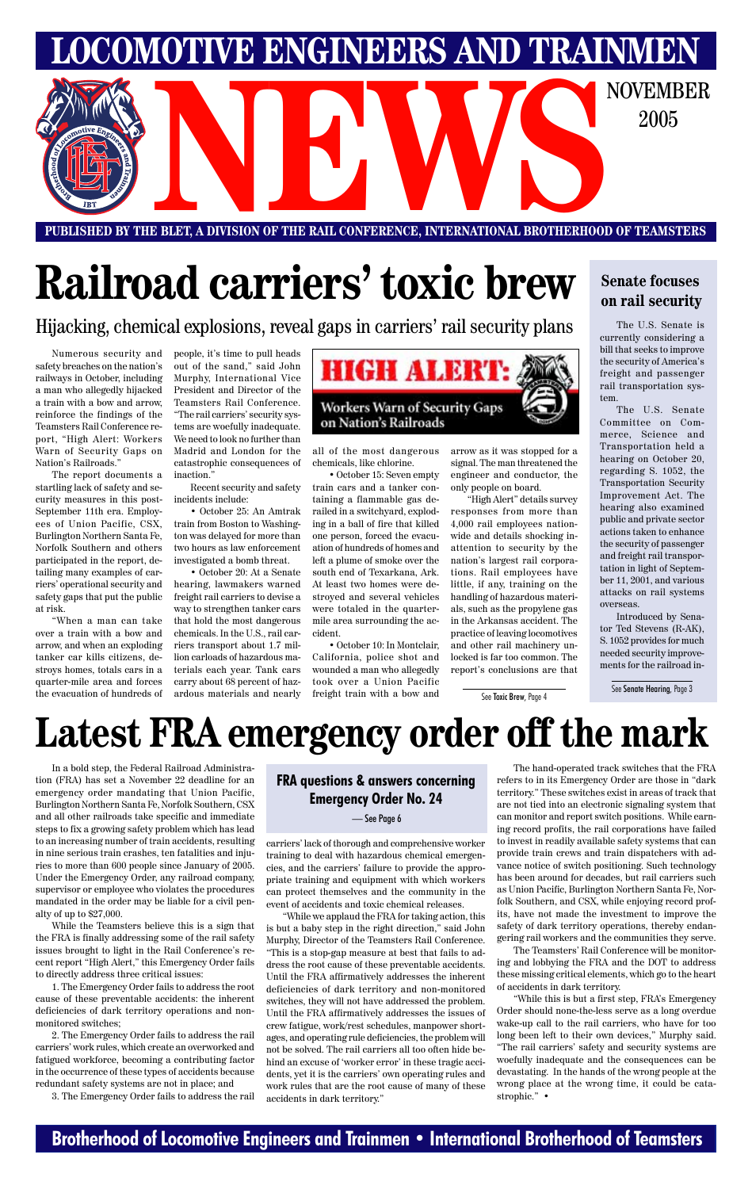### **Brotherhood of Locomotive Engineers and Trainmen • International Brotherhood of Teamsters**

**PUBLISHED BY THE BLET, A DIVISION OF THE RAIL CONFERENCE, INTERNATIONAL BROTHERHOOD OF TEAMSTERS** E BLET, A DIVISION OF THE RAIL CONFERENCE, INTERNATIONAL BROTHERHOOD OF TEAMSTERS

**LOCOMOTIVE ENGINEERS AND TRAINMEN**

2005

Numerous security and safety breaches on the nation's railways in October, including a man who allegedly hijacked a train with a bow and arrow, reinforce the findings of the Teamsters Rail Conference report, "High Alert: Workers Warn of Security Gaps on Nation's Railroads."

The report documents a startling lack of safety and security measures in this post-September 11th era. Employees of Union Pacific, CSX, Burlington Northern Santa Fe, Norfolk Southern and others participated in the report, detailing many examples of carriers' operational security and safety gaps that put the public at risk.

"When a man can take over a train with a bow and arrow, and when an exploding tanker car kills citizens, destroys homes, totals cars in a quarter-mile area and forces the evacuation of hundreds of people, it's time to pull heads out of the sand," said John Murphy, International Vice President and Director of the Teamsters Rail Conference. "The rail carriers' security systems are woefully inadequate. We need to look no further than Madrid and London for the catastrophic consequences of inaction."

Recent security and safety incidents include:

• October 25: An Amtrak train from Boston to Washington was delayed for more than two hours as law enforcement investigated a bomb threat.

• October 20: At a Senate hearing, lawmakers warned freight rail carriers to devise a way to strengthen tanker cars that hold the most dangerous chemicals. In the U.S., rail carriers transport about 1.7 million carloads of hazardous materials each year. Tank cars carry about 68 percent of hazardous materials and nearly



all of the most dangerous chemicals, like chlorine.

• October 15: Seven empty train cars and a tanker containing a flammable gas derailed in a switchyard, exploding in a ball of fire that killed one person, forced the evacuation of hundreds of homes and left a plume of smoke over the south end of Texarkana, Ark. At least two homes were destroyed and several vehicles were totaled in the quartermile area surrounding the accident.

• October 10: In Montclair, California, police shot and wounded a man who allegedly took over a Union Pacific freight train with a bow and

arrow as it was stopped for a signal. The man threatened the engineer and conductor, the only people on board.

"High Alert" details survey responses from more than 4,000 rail employees nationwide and details shocking inattention to security by the nation's largest rail corporations. Rail employees have little, if any, training on the handling of hazardous materials, such as the propylene gas in the Arkansas accident. The practice of leaving locomotives and other rail machinery unlocked is far too common. The report's conclusions are that

## **Latest FRA emergency order off the mark**

In a bold step, the Federal Railroad Administration (FRA) has set a November 22 deadline for an emergency order mandating that Union Pacific, Burlington Northern Santa Fe, Norfolk Southern, CSX and all other railroads take specific and immediate steps to fix a growing safety problem which has lead to an increasing number of train accidents, resulting in nine serious train crashes, ten fatalities and injuries to more than 600 people since January of 2005. Under the Emergency Order, any railroad company, supervisor or employee who violates the procedures mandated in the order may be liable for a civil penalty of up to \$27,000.

While the Teamsters believe this is a sign that the FRA is finally addressing some of the rail safety issues brought to light in the Rail Conference's recent report "High Alert," this Emergency Order fails to directly address three critical issues:

1. The Emergency Order fails to address the root cause of these preventable accidents: the inherent deficiencies of dark territory operations and nonmonitored switches;

2. The Emergency Order fails to address the rail carriers' work rules, which create an overworked and fatigued workforce, becoming a contributing factor in the occurrence of these types of accidents because redundant safety systems are not in place; and

3. The Emergency Order fails to address the rail

carriers' lack of thorough and comprehensive worker training to deal with hazardous chemical emergencies, and the carriers' failure to provide the appropriate training and equipment with which workers can protect themselves and the community in the event of accidents and toxic chemical releases. "While we applaud the FRA for taking action, this is but a baby step in the right direction," said John Murphy, Director of the Teamsters Rail Conference. "This is a stop-gap measure at best that fails to address the root cause of these preventable accidents. Until the FRA affirmatively addresses the inherent deficiencies of dark territory and non-monitored switches, they will not have addressed the problem. Until the FRA affirmatively addresses the issues of crew fatigue, work/rest schedules, manpower shortages, and operating rule deficiencies, the problem will not be solved. The rail carriers all too often hide behind an excuse of 'worker error' in these tragic accidents, yet it is the carriers' own operating rules and work rules that are the root cause of many of these accidents in dark territory."

The hand-operated track switches that the FRA refers to in its Emergency Order are those in "dark territory." These switches exist in areas of track that are not tied into an electronic signaling system that can monitor and report switch positions. While earning record profits, the rail corporations have failed to invest in readily available safety systems that can provide train crews and train dispatchers with advance notice of switch positioning. Such technology has been around for decades, but rail carriers such as Union Pacific, Burlington Northern Santa Fe, Norfolk Southern, and CSX, while enjoying record profits, have not made the investment to improve the safety of dark territory operations, thereby endangering rail workers and the communities they serve. The Teamsters' Rail Conference will be monitoring and lobbying the FRA and the DOT to address these missing critical elements, which go to the heart of accidents in dark territory. "While this is but a first step, FRA's Emergency Order should none-the-less serve as a long overdue wake-up call to the rail carriers, who have for too long been left to their own devices," Murphy said. "The rail carriers' safety and security systems are woefully inadequate and the consequences can be devastating. In the hands of the wrong people at the wrong place at the wrong time, it could be catastrophic." •

## **Railroad carriers' toxic brew**

Hijacking, chemical explosions, reveal gaps in carriers' rail security plans

### **Senate focuses on rail security**

The U.S. Senate is currently considering a bill that seeks to improve the security of America's freight and passenger rail transportation system.

The U.S. Senate Committee on Commerce, Science and Transportation held a hearing on October 20, regarding S. 1052, the Transportation Security Improvement Act. The hearing also examined public and private sector actions taken to enhance the security of passenger and freight rail transportation in light of September 11, 2001, and various attacks on rail systems overseas.

Introduced by Senator Ted Stevens (R-AK), S. 1052 provides for much needed security improvements for the railroad in-

See Toxic Brew, Page 4

See Senate Hearing, Page 3

### **FRA questions & answers concerning Emergency Order No. 24**

— See Page 6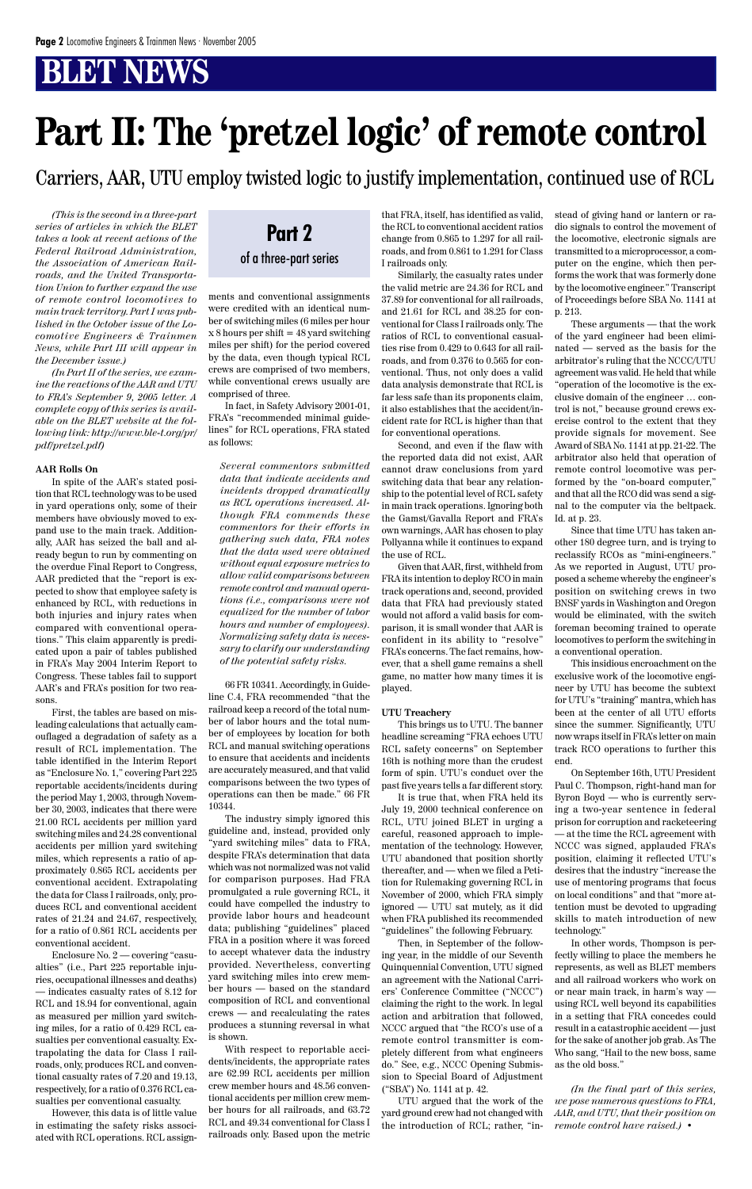*(This is the second in a three-part series of articles in which the BLET takes a look at recent actions of the Federal Railroad Administration, the Association of American Railroads, and the United Transportation Union to further expand the use of remote control locomotives to main track territory. Part I was published in the October issue of the Locomotive Engineers & Trainmen News, while Part III will appear in the December issue.)*

*(In Part II of the series, we examine the reactions of the AAR and UTU to FRA's September 9, 2005 letter. A complete copy of this series is available on the BLET website at the following link: http://www.ble-t.org/pr/ pdf/pretzel.pdf)*

#### **AAR Rolls On**

In spite of the AAR's stated position that RCL technology was to be used in yard operations only, some of their members have obviously moved to expand use to the main track. Additionally, AAR has seized the ball and already begun to run by commenting on the overdue Final Report to Congress, AAR predicted that the "report is expected to show that employee safety is enhanced by RCL, with reductions in both injuries and injury rates when compared with conventional operations." This claim apparently is predicated upon a pair of tables published in FRA's May 2004 Interim Report to Congress. These tables fail to support AAR's and FRA's position for two reasons.

First, the tables are based on misleading calculations that actually camouflaged a degradation of safety as a result of RCL implementation. The table identified in the Interim Report as "Enclosure No. 1," covering Part 225 reportable accidents/incidents during the period May 1, 2003, through November 30, 2003, indicates that there were 21.00 RCL accidents per million yard switching miles and 24.28 conventional accidents per million yard switching miles, which represents a ratio of approximately 0.865 RCL accidents per conventional accident. Extrapolating the data for Class I railroads, only, produces RCL and conventional accident rates of 21.24 and 24.67, respectively, for a ratio of 0.861 RCL accidents per conventional accident. Enclosure No. 2 — covering "casualties" (i.e., Part 225 reportable injuries, occupational illnesses and deaths) — indicates casualty rates of 8.12 for RCL and 18.94 for conventional, again as measured per million yard switching miles, for a ratio of 0.429 RCL casualties per conventional casualty. Extrapolating the data for Class I railroads, only, produces RCL and conventional casualty rates of 7.20 and 19.13, respectively, for a ratio of 0.376 RCL casualties per conventional casualty.

However, this data is of little value in estimating the safety risks associated with RCL operations. RCL assignments and conventional assignments were credited with an identical number of switching miles (6 miles per hour x 8 hours per shift = 48 yard switching miles per shift) for the period covered by the data, even though typical RCL crews are comprised of two members, while conventional crews usually are comprised of three.

In fact, in Safety Advisory 2001-01, FRA's "recommended minimal guidelines" for RCL operations, FRA stated as follows:

*Several commentors submitted data that indicate accidents and incidents dropped dramatically as RCL operations increased. Although FRA commends these commentors for their efforts in gathering such data, FRA notes that the data used were obtained without equal exposure metrics to allow valid comparisons between remote control and manual operations (i.e., comparisons were not equalized for the number of labor hours and number of employees). Normalizing safety data is necessary to clarify our understanding of the potential safety risks.*

66 FR 10341. Accordingly, in Guideline C.4, FRA recommended "that the railroad keep a record of the total number of labor hours and the total number of employees by location for both RCL and manual switching operations to ensure that accidents and incidents are accurately measured, and that valid comparisons between the two types of operations can then be made." 66 FR 10344.

The industry simply ignored this guideline and, instead, provided only "yard switching miles" data to FRA, despite FRA's determination that data which was not normalized was not valid for comparison purposes. Had FRA promulgated a rule governing RCL, it could have compelled the industry to provide labor hours and headcount data; publishing "guidelines" placed FRA in a position where it was forced to accept whatever data the industry provided. Nevertheless, converting yard switching miles into crew member hours — based on the standard composition of RCL and conventional crews — and recalculating the rates produces a stunning reversal in what is shown. With respect to reportable accidents/incidents, the appropriate rates are 62.99 RCL accidents per million crew member hours and 48.56 conventional accidents per million crew member hours for all railroads, and 63.72 RCL and 49.34 conventional for Class I railroads only. Based upon the metric

that FRA, itself, has identified as valid, the RCL to conventional accident ratios change from 0.865 to 1.297 for all railroads, and from 0.861 to 1.291 for Class I railroads only.

Similarly, the casualty rates under the valid metric are 24.36 for RCL and 37.89 for conventional for all railroads, and 21.61 for RCL and 38.25 for conventional for Class I railroads only. The ratios of RCL to conventional casualties rise from 0.429 to 0.643 for all railroads, and from 0.376 to 0.565 for conventional. Thus, not only does a valid data analysis demonstrate that RCL is far less safe than its proponents claim, it also establishes that the accident/incident rate for RCL is higher than that for conventional operations.

Second, and even if the flaw with the reported data did not exist, AAR cannot draw conclusions from yard switching data that bear any relationship to the potential level of RCL safety in main track operations. Ignoring both the Gamst/Gavalla Report and FRA's own warnings, AAR has chosen to play Pollyanna while it continues to expand the use of RCL.

Given that AAR, first, withheld from FRA its intention to deploy RCO in main track operations and, second, provided data that FRA had previously stated would not afford a valid basis for comparison, it is small wonder that AAR is confident in its ability to "resolve" FRA's concerns. The fact remains, however, that a shell game remains a shell game, no matter how many times it is played.

#### **UTU Treachery**

This brings us to UTU. The banner headline screaming "FRA echoes UTU RCL safety concerns" on September 16th is nothing more than the crudest form of spin. UTU's conduct over the past five years tells a far different story.

It is true that, when FRA held its July 19, 2000 technical conference on RCL, UTU joined BLET in urging a careful, reasoned approach to implementation of the technology. However, UTU abandoned that position shortly thereafter, and — when we filed a Peti-

tion for Rulemaking governing RCL in November of 2000, which FRA simply ignored — UTU sat mutely, as it did when FRA published its recommended "guidelines" the following February.

Then, in September of the following year, in the middle of our Seventh Quinquennial Convention, UTU signed an agreement with the National Carriers' Conference Committee ("NCCC") claiming the right to the work. In legal action and arbitration that followed, NCCC argued that "the RCO's use of a remote control transmitter is completely different from what engineers do." See, e.g., NCCC Opening Submission to Special Board of Adjustment ("SBA") No. 1141 at p. 42.

UTU argued that the work of the yard ground crew had not changed with the introduction of RCL; rather, "instead of giving hand or lantern or radio signals to control the movement of the locomotive, electronic signals are transmitted to a microprocessor, a computer on the engine, which then performs the work that was formerly done by the locomotive engineer." Transcript of Proceedings before SBA No. 1141 at p. 213.

These arguments — that the work of the yard engineer had been eliminated — served as the basis for the arbitrator's ruling that the NCCC/UTU agreement was valid. He held that while "operation of the locomotive is the exclusive domain of the engineer … control is not," because ground crews exercise control to the extent that they provide signals for movement. See Award of SBA No. 1141 at pp. 21-22. The arbitrator also held that operation of remote control locomotive was performed by the "on-board computer," and that all the RCO did was send a signal to the computer via the beltpack. Id. at p. 23.

Since that time UTU has taken another 180 degree turn, and is trying to reclassify RCOs as "mini-engineers." As we reported in August, UTU proposed a scheme whereby the engineer's position on switching crews in two BNSF yards in Washington and Oregon would be eliminated, with the switch foreman becoming trained to operate locomotives to perform the switching in a conventional operation.

This insidious encroachment on the exclusive work of the locomotive engineer by UTU has become the subtext for UTU's "training" mantra, which has been at the center of all UTU efforts since the summer. Significantly, UTU now wraps itself in FRA's letter on main track RCO operations to further this end.

On September 16th, UTU President Paul C. Thompson, right-hand man for Byron Boyd — who is currently serving a two-year sentence in federal prison for corruption and racketeering — at the time the RCL agreement with NCCC was signed, applauded FRA's position, claiming it reflected UTU's desires that the industry "increase the use of mentoring programs that focus on local conditions" and that "more attention must be devoted to upgrading skills to match introduction of new technology." In other words, Thompson is perfectly willing to place the members he represents, as well as BLET members and all railroad workers who work on or near main track, in harm's way using RCL well beyond its capabilities in a setting that FRA concedes could result in a catastrophic accident — just for the sake of another job grab. As The Who sang, "Hail to the new boss, same as the old boss."

*(In the final part of this series, we pose numerous questions to FRA, AAR, and UTU, that their position on remote control have raised.)* •

## **Part II: The 'pretzel logic' of remote control**

Carriers, AAR, UTU employ twisted logic to justify implementation, continued use of RCL

### **Part 2** of a three-part series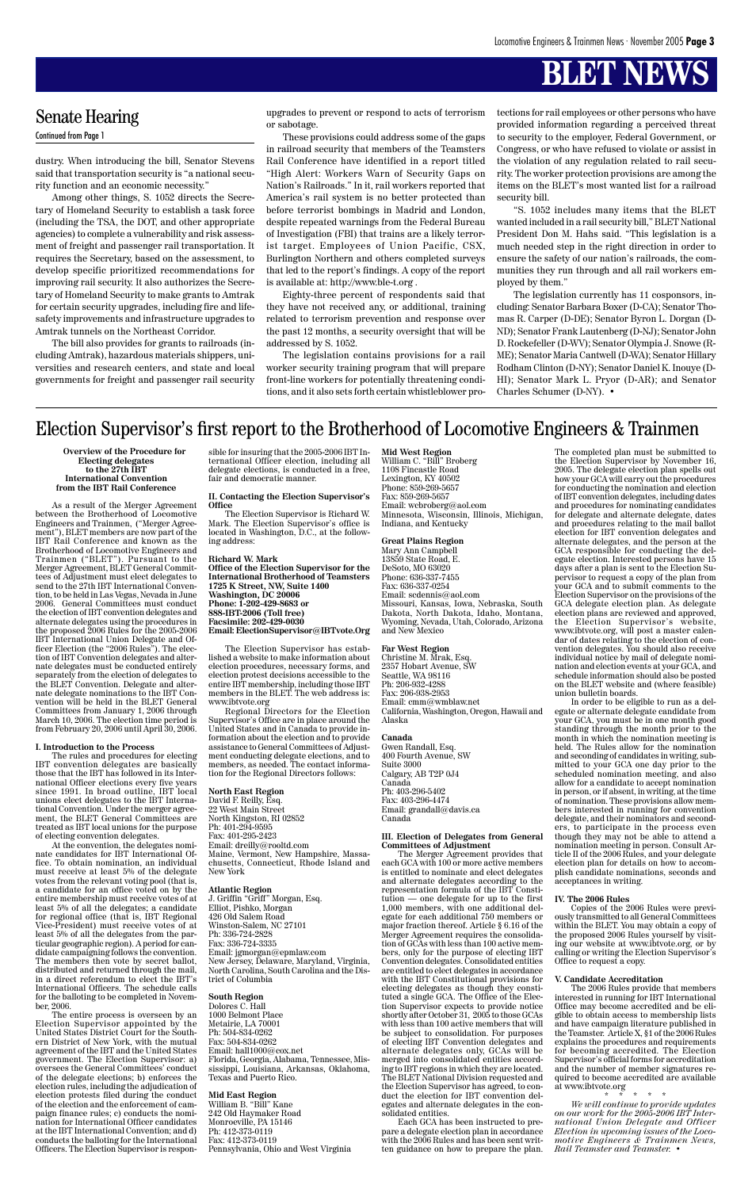**Overview of the Procedure for Electing delegates to the 27th IBT International Convention from the IBT Rail Conference**

As a result of the Merger Agreement between the Brotherhood of Locomotive Engineers and Trainmen, ("Merger Agreement"), BLET members are now part of the IBT Rail Conference and known as the Brotherhood of Locomotive Engineers and Trainmen ("BLET"). Pursuant to the Merger Agreement, BLET General Committees of Adjustment must elect delegates to send to the 27th IBT International Convention, to be held in Las Vegas, Nevada in June 2006. General Committees must conduct the election of IBT convention delegates and alternate delegates using the procedures in the proposed 2006 Rules for the 2005-2006 IBT International Union Delegate and Officer Election (the "2006 Rules"). The election of IBT Convention delegates and alternate delegates must be conducted entirely separately from the election of delegates to the BLET Convention. Delegate and alternate delegate nominations to the IBT Convention will be held in the BLET General Committees from January 1, 2006 through March 10, 2006. The election time period is from February 20, 2006 until April 30, 2006.

#### **I. Introduction to the Process**

The rules and procedures for electing IBT convention delegates are basically those that the IBT has followed in its International Officer elections every five years since 1991. In broad outline, IBT local unions elect delegates to the IBT International Convention. Under the merger agreement, the BLET General Committees are treated as IBT local unions for the purpose of electing convention delegates.

At the convention, the delegates nominate candidates for IBT International Office. To obtain nomination, an individual must receive at least 5% of the delegate votes from the relevant voting pool (that is, a candidate for an office voted on by the entire membership must receive votes of at least 5% of all the delegates; a candidate for regional office (that is, IBT Regional Vice-President) must receive votes of at least 5% of all the delegates from the particular geographic region). A period for candidate campaigning follows the convention. The members then vote by secret ballot, distributed and returned through the mail, in a direct referendum to elect the IBT's International Officers. The schedule calls for the balloting to be completed in November, 2006. The entire process is overseen by an Election Supervisor appointed by the United States District Court for the Southern District of New York, with the mutual agreement of the IBT and the United States government. The Election Supervisor: a) oversees the General Committees' conduct of the delegate elections; b) enforces the election rules, including the adjudication of election protests filed during the conduct of the election and the enforcement of campaign finance rules; c) conducts the nomination for International Officer candidates at the IBT International Convention; and d) conducts the balloting for the International Officers. The Election Supervisor is responsible for insuring that the 2005-2006 IBT International Officer election, including all delegate elections, is conducted in a free, fair and democratic manner.

#### **II. Contacting the Election Supervisor's Office**

The Election Supervisor is Richard W. Mark. The Election Supervisor's office is located in Washington, D.C., at the following address:

#### **Richard W. Mark**

**Office of the Election Supervisor for the International Brotherhood of Teamsters 1725 K Street, NW, Suite 1400 Washington, DC 20006 Phone: 1-202-429-8683 or 888-IBT-2006 (Toll free) Facsimile: 202-429-0030 Email: ElectionSupervisor@IBTvote.Org**

The Election Supervisor has established a website to make information about election procedures, necessary forms, and election protest decisions accessible to the entire IBT membership, including those IBT members in the BLET. The web address is: www.ibtvote.org

Regional Directors for the Election Supervisor's Office are in place around the United States and in Canada to provide information about the election and to provide assistance to General Committees of Adjustment conducting delegate elections, and to members, as needed. The contact information for the Regional Directors follows:

**North East Region** David F. Reilly, Esq. 22 West Main Street North Kingston, RI 02852 Ph: 401-294-9595 Fax: 401-295-2423 Email: dreilly@rooltd.com Maine, Vermont, New Hampshire, Massachusetts, Connecticut, Rhode Island and New York

#### **Atlantic Region**

J. Griffin "Griff" Morgan, Esq. Elliot, Pishko, Morgan 426 Old Salem Road Winston-Salem, NC 27101 Ph: 336-724-2828 Fax: 336-724-3335 Email: jgmorgan@epmlaw.com New Jersey, Delaware, Maryland, Virginia, North Carolina, South Carolina and the District of Columbia

#### **South Region**

Dolores C. Hall 1000 Belmont Place Metairie, LA 70001 Ph: 504-834-0262 Fax: 504-834-0262 Email: hall1000@cox.net Florida, Georgia, Alabama, Tennessee, Mississippi, Louisiana, Arkansas, Oklahoma, Texas and Puerto Rico.

#### **Mid East Region**

William B. "Bill" Kane 242 Old Haymaker Road Monroeville, PA 15146 Ph: 412-373-0119 Fax: 412-373-0119 Pennsylvania, Ohio and West Virginia

**Mid West Region** William C. "Bill" Broberg 1108 Fincastle Road Lexington, KY 40502 Phone: 859-269-5657 Fax: 859-269-5657 Email: wcbroberg@aol.com Minnesota, Wisconsin, Illinois, Michigan, Indiana, and Kentucky

#### **Great Plains Region**

Mary Ann Campbell 13859 State Road, E. DeSoto, MO 63020 Phone: 636-337-7455 Fax: 636-337-0254 Email: scdennis@aol.com Missouri, Kansas, Iowa, Nebraska, South Dakota, North Dakota, Idaho, Montana, Wyoming, Nevada, Utah, Colorado, Arizona and New Mexico

#### **Far West Region**

Christine M. Mrak, Esq. 2357 Hobart Avenue, SW Seattle, WA 98116 Ph: 206-932-4288 Fax: 206-938-2953 Email: cmm@wmblaw.net California, Washington, Oregon, Hawaii and Alaska

#### **Canada**

Gwen Randall, Esq. 400 Fourth Avenue, SW Suite 3000 Calgary, AB T2P 0J4 Canada Ph: 403-296-5402 Fax: 403-296-4474 Email: grandall@davis.ca Canada

#### **III. Election of Delegates from General Committees of Adjustment**

The Merger Agreement provides that each GCA with 100 or more active members is entitled to nominate and elect delegates and alternate delegates according to the representation formula of the IBT Constitution — one delegate for up to the first 1,000 members, with one additional delegate for each additional 750 members or major fraction thereof. Article § 6.16 of the Merger Agreement requires the consolidation of GCAs with less than 100 active members, only for the purpose of electing IBT Convention delegates. Consolidated entities are entitled to elect delegates in accordance with the IBT Constitutional provisions for electing delegates as though they constituted a single GCA. The Office of the Election Supervisor expects to provide notice shortly after October 31, 2005 to those GCAs with less than 100 active members that will be subject to consolidation. For purposes of electing IBT Convention delegates and alternate delegates only, GCAs will be merged into consolidated entities according to IBT regions in which they are located. The BLET National Division requested and the Election Supervisor has agreed, to conduct the election for IBT convention delegates and alternate delegates in the consolidated entities.

Each GCA has been instructed to prepare a delegate election plan in accordance with the 2006 Rules and has been sent written guidance on how to prepare the plan. The completed plan must be submitted to the Election Supervisor by November 16, 2005. The delegate election plan spells out how your GCA will carry out the procedures for conducting the nomination and election of IBT convention delegates, including dates and procedures for nominating candidates for delegate and alternate delegate, dates and procedures relating to the mail ballot election for IBT convention delegates and alternate delegates, and the person at the GCA responsible for conducting the delegate election. Interested persons have 15 days after a plan is sent to the Election Supervisor to request a copy of the plan from your GCA and to submit comments to the Election Supervisor on the provisions of the GCA delegate election plan. As delegate election plans are reviewed and approved, the Election Supervisor's website, www.ibtvote.org, will post a master calendar of dates relating to the election of convention delegates. You should also receive individual notice by mail of delegate nomination and election events at your GCA, and schedule information should also be posted on the BLET website and (where feasible) union bulletin boards.

In order to be eligible to run as a delegate or alternate delegate candidate from your GCA, you must be in one month good standing through the month prior to the month in which the nomination meeting is held. The Rules allow for the nomination and seconding of candidates in writing, submitted to your GCA one day prior to the scheduled nomination meeting, and also allow for a candidate to accept nomination in person, or if absent, in writing, at the time of nomination. These provisions allow members interested in running for convention delegate, and their nominators and seconders, to participate in the process even though they may not be able to attend a nomination meeting in person. Consult Article II of the 2006 Rules, and your delegate election plan for details on how to accomplish candidate nominations, seconds and acceptances in writing.

#### **IV. The 2006 Rules**

Copies of the 2006 Rules were previously transmitted to all General Committees within the BLET. You may obtain a copy of the proposed 2006 Rules yourself by visiting our website at www.ibtvote.org, or by calling or writing the Election Supervisor's Office to request a copy.

#### **V. Candidate Accreditation**

The 2006 Rules provide that members interested in running for IBT International Office may become accredited and be eligible to obtain access to membership lists and have campaign literature published in the Teamster. Article X, §1 of the 2006 Rules explains the procedures and requirements for becoming accredited. The Election Supervisor's official forms for accreditation and the number of member signatures required to become accredited are available at www.ibtvote.org

\* \* \* \* \*

*We will continue to provide updates on our work for the 2005-2006 IBT International Union Delegate and Officer Election in upcoming issues of the Locomotive Engineers & Trainmen News, Rail Teamster and Teamster.* •

### Election Supervisor's first report to the Brotherhood of Locomotive Engineers & Trainmen

dustry. When introducing the bill, Senator Stevens said that transportation security is "a national security function and an economic necessity."

Among other things, S. 1052 directs the Secretary of Homeland Security to establish a task force (including the TSA, the DOT, and other appropriate agencies) to complete a vulnerability and risk assessment of freight and passenger rail transportation. It requires the Secretary, based on the assessment, to develop specific prioritized recommendations for improving rail security. It also authorizes the Secretary of Homeland Security to make grants to Amtrak for certain security upgrades, including fire and lifesafety improvements and infrastructure upgrades to Amtrak tunnels on the Northeast Corridor.

The bill also provides for grants to railroads (including Amtrak), hazardous materials shippers, universities and research centers, and state and local governments for freight and passenger rail security

upgrades to prevent or respond to acts of terrorism or sabotage.

These provisions could address some of the gaps in railroad security that members of the Teamsters Rail Conference have identified in a report titled "High Alert: Workers Warn of Security Gaps on Nation's Railroads." In it, rail workers reported that America's rail system is no better protected than before terrorist bombings in Madrid and London, despite repeated warnings from the Federal Bureau of Investigation (FBI) that trains are a likely terrorist target. Employees of Union Pacific, CSX, Burlington Northern and others completed surveys that led to the report's findings. A copy of the report is available at: http://www.ble-t.org .

Eighty-three percent of respondents said that they have not received any, or additional, training related to terrorism prevention and response over the past 12 months, a security oversight that will be addressed by S. 1052.

The legislation contains provisions for a rail worker security training program that will prepare front-line workers for potentially threatening conditions, and it also sets forth certain whistleblower protections for rail employees or other persons who have provided information regarding a perceived threat to security to the employer, Federal Government, or Congress, or who have refused to violate or assist in the violation of any regulation related to rail security. The worker protection provisions are among the items on the BLET's most wanted list for a railroad security bill.

"S. 1052 includes many items that the BLET wanted included in a rail security bill," BLET National President Don M. Hahs said. "This legislation is a much needed step in the right direction in order to ensure the safety of our nation's railroads, the communities they run through and all rail workers employed by them."

The legislation currently has 11 cosponsors, including: Senator Barbara Boxer (D-CA); Senator Thomas R. Carper (D-DE); Senator Byron L. Dorgan (D-ND); Senator Frank Lautenberg (D-NJ); Senator John D. Rockefeller (D-WV); Senator Olympia J. Snowe (R-ME); Senator Maria Cantwell (D-WA); Senator Hillary Rodham Clinton (D-NY); Senator Daniel K. Inouye (D-HI); Senator Mark L. Pryor (D-AR); and Senator Charles Schumer (D-NY). •

### Senate Hearing

Continued from Page 1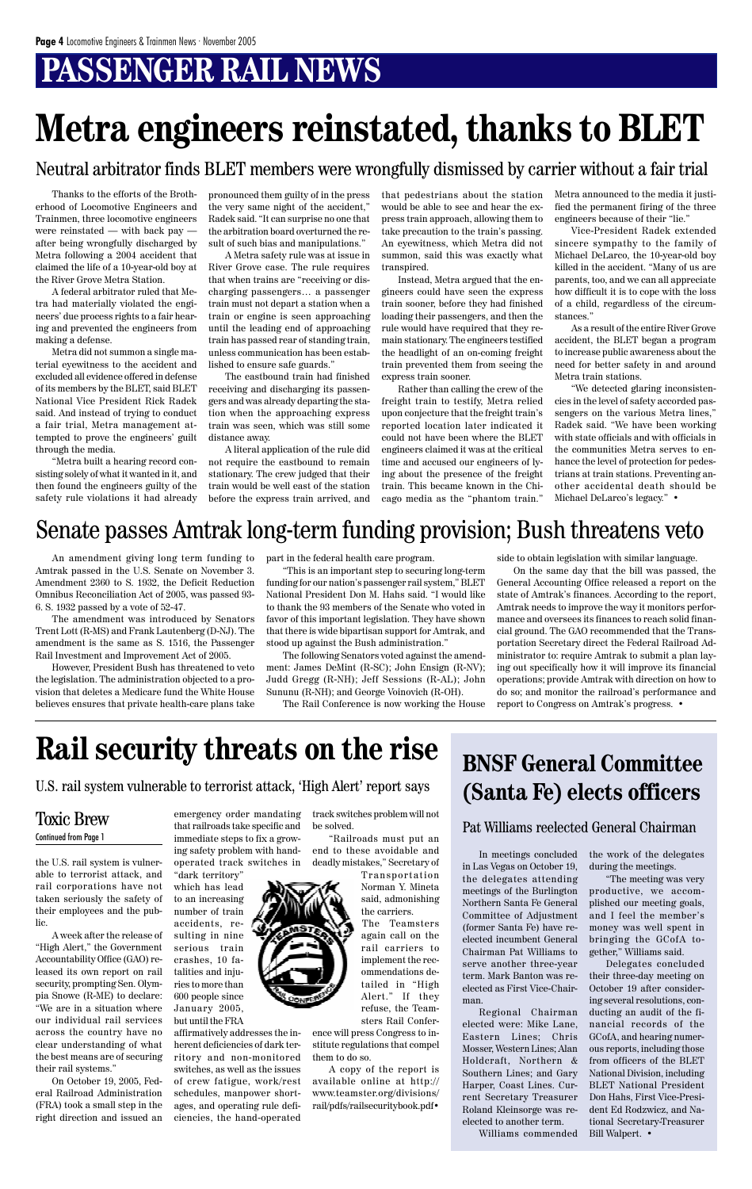## **PASSENGER RAIL NEWS**

Thanks to the efforts of the Brotherhood of Locomotive Engineers and Trainmen, three locomotive engineers were reinstated — with back pay after being wrongfully discharged by Metra following a 2004 accident that claimed the life of a 10-year-old boy at the River Grove Metra Station.

A federal arbitrator ruled that Metra had materially violated the engineers' due process rights to a fair hearing and prevented the engineers from making a defense.

Metra did not summon a single material eyewitness to the accident and excluded all evidence offered in defense of its members by the BLET, said BLET National Vice President Rick Radek said. And instead of trying to conduct a fair trial, Metra management attempted to prove the engineers' guilt through the media.

"Metra built a hearing record consisting solely of what it wanted in it, and then found the engineers guilty of the safety rule violations it had already pronounced them guilty of in the press the very same night of the accident," Radek said. "It can surprise no one that the arbitration board overturned the result of such bias and manipulations."

A Metra safety rule was at issue in River Grove case. The rule requires that when trains are "receiving or discharging passengers… a passenger train must not depart a station when a train or engine is seen approaching until the leading end of approaching train has passed rear of standing train, unless communication has been established to ensure safe guards."

The eastbound train had finished receiving and discharging its passengers and was already departing the station when the approaching express train was seen, which was still some distance away.

A literal application of the rule did not require the eastbound to remain stationary. The crew judged that their train would be well east of the station before the express train arrived, and that pedestrians about the station would be able to see and hear the express train approach, allowing them to take precaution to the train's passing. An eyewitness, which Metra did not summon, said this was exactly what transpired.

Instead, Metra argued that the engineers could have seen the express train sooner, before they had finished loading their passengers, and then the rule would have required that they remain stationary. The engineers testified the headlight of an on-coming freight train prevented them from seeing the express train sooner.

Rather than calling the crew of the freight train to testify, Metra relied upon conjecture that the freight train's reported location later indicated it could not have been where the BLET engineers claimed it was at the critical time and accused our engineers of lying about the presence of the freight train. This became known in the Chicago media as the "phantom train."

Metra announced to the media it justified the permanent firing of the three engineers because of their "lie."

Vice-President Radek extended sincere sympathy to the family of Michael DeLarco, the 10-year-old boy killed in the accident. "Many of us are parents, too, and we can all appreciate how difficult it is to cope with the loss of a child, regardless of the circumstances."

> "The meeting was very productive, we accomplished our meeting goals, and I feel the member's money was well spent in bringing the GCofA together," Williams said. Delegates concluded their three-day meeting on October 19 after considering several resolutions, conducting an audit of the financial records of the GCofA, and hearing numerous reports, including those from officers of the BLET National Division, including BLET National President Don Hahs, First Vice-President Ed Rodzwicz, and National Secretary-Treasurer Bill Walpert. •

As a result of the entire River Grove accident, the BLET began a program to increase public awareness about the need for better safety in and around Metra train stations.

"We detected glaring inconsistencies in the level of safety accorded passengers on the various Metra lines," Radek said. "We have been working with state officials and with officials in the communities Metra serves to enhance the level of protection for pedestrians at train stations. Preventing another accidental death should be Michael DeLarco's legacy." •

## **Metra engineers reinstated, thanks to BLET**

An amendment giving long term funding to Amtrak passed in the U.S. Senate on November 3. Amendment 2360 to S. 1932, the Deficit Reduction Omnibus Reconciliation Act of 2005, was passed 93- 6. S. 1932 passed by a vote of 52-47.

The amendment was introduced by Senators Trent Lott (R-MS) and Frank Lautenberg (D-NJ). The amendment is the same as S. 1516, the Passenger Rail Investment and Improvement Act of 2005.

However, President Bush has threatened to veto the legislation. The administration objected to a provision that deletes a Medicare fund the White House believes ensures that private health-care plans take part in the federal health care program.

"This is an important step to securing long-term funding for our nation's passenger rail system," BLET National President Don M. Hahs said. "I would like to thank the 93 members of the Senate who voted in favor of this important legislation. They have shown that there is wide bipartisan support for Amtrak, and stood up against the Bush administration."

The following Senators voted against the amendment: James DeMint (R-SC); John Ensign (R-NV); Judd Gregg (R-NH); Jeff Sessions (R-AL); John Sununu (R-NH); and George Voinovich (R-OH).

The Rail Conference is now working the House

side to obtain legislation with similar language.

On the same day that the bill was passed, the General Accounting Office released a report on the state of Amtrak's finances. According to the report, Amtrak needs to improve the way it monitors performance and oversees its finances to reach solid financial ground. The GAO recommended that the Transportation Secretary direct the Federal Railroad Administrator to: require Amtrak to submit a plan laying out specifically how it will improve its financial operations; provide Amtrak with direction on how to do so; and monitor the railroad's performance and report to Congress on Amtrak's progress. •

### Senate passes Amtrak long-term funding provision; Bush threatens veto

Neutral arbitrator finds BLET members were wrongfully dismissed by carrier without a fair trial

In meetings concluded the work of the delegates in Las Vegas on October 19, during the meetings. the delegates attending meetings of the Burlington Northern Santa Fe General Committee of Adjustment (former Santa Fe) have reelected incumbent General Chairman Pat Williams to serve another three-year term. Mark Banton was reelected as First Vice-Chairman. Regional Chairman elected were: Mike Lane, Eastern Lines; Chris Mosser, Western Lines; Alan Holdcraft, Northern & Southern Lines; and Gary Harper, Coast Lines. Current Secretary Treasurer Roland Kleinsorge was reelected to another term.

Williams commended

the U.S. rail system is vulnerable to terrorist attack, and rail corporations have not taken seriously the safety of their employees and the public.

A week after the release of "High Alert," the Government Accountability Office (GAO) released its own report on rail security, prompting Sen. Olympia Snowe (R-ME) to declare: "We are in a situation where our individual rail services across the country have no clear understanding of what the best means are of securing their rail systems."

On October 19, 2005, Federal Railroad Administration (FRA) took a small step in the right direction and issued an

### **BNSF General Committee (Santa Fe) elects officers**

#### Pat Williams reelected General Chairman

emergency order mandating

that railroads take specific and immediate steps to fix a growing safety problem with handoperated track switches in 'dark territory which has lead to an increasing number of train accidents, resulting in nine serious train crashes, 10 fatalities and injuries to more than 600 people since January 2005, but until the FRA affirmatively addresses the inherent deficiencies of dark territory and non-monitored switches, as well as the issues of crew fatigue, work/rest schedules, manpower shortages, and operating rule deficiencies, the hand-operated

### Toxic Brew Continued from Page 1

track switches problem will not be solved.

"Railroads must put an end to these avoidable and deadly mistakes," Secretary of



ence will press Congress to institute regulations that compel them to do so.

A copy of the report is available online at http:// www.teamster.org/divisions/ rail/pdfs/railsecuritybook.pdf•

## **Rail security threats on the rise**

### U.S. rail system vulnerable to terrorist attack, 'High Alert' report says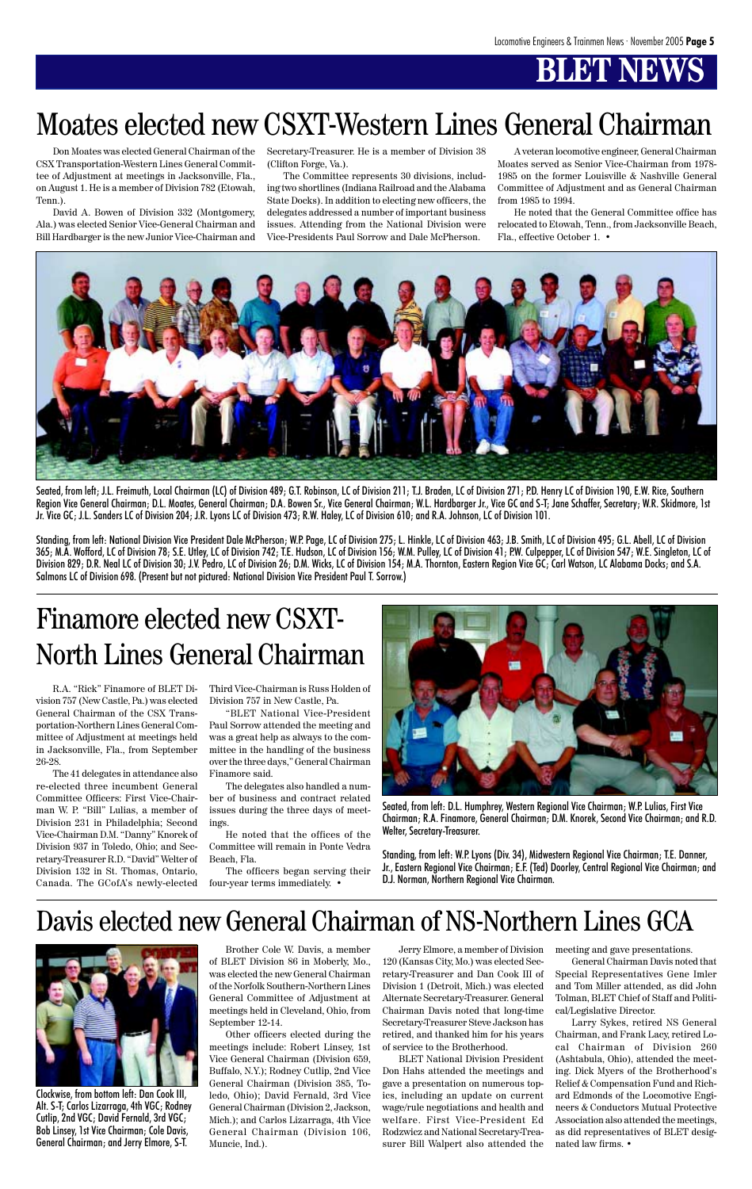## **BT NEW**

Don Moates was elected General Chairman of the CSX Transportation-Western Lines General Committee of Adjustment at meetings in Jacksonville, Fla., on August 1. He is a member of Division 782 (Etowah, Tenn.).

David A. Bowen of Division 332 (Montgomery, Ala.) was elected Senior Vice-General Chairman and Bill Hardbarger is the new Junior Vice-Chairman and Secretary-Treasurer. He is a member of Division 38 (Clifton Forge, Va.).

The Committee represents 30 divisions, including two shortlines (Indiana Railroad and the Alabama State Docks). In addition to electing new officers, the delegates addressed a number of important business issues. Attending from the National Division were Vice-Presidents Paul Sorrow and Dale McPherson.

Seated, from left; J.L. Freimuth, Local Chairman (LC) of Division 489; G.T. Robinson, LC of Division 211; T.J. Braden, LC of Division 271; P.D. Henry LC of Division 190, E.W. Rice, Southern Region Vice General Chairman; D.L. Moates, General Chairman; D.A. Bowen Sr., Vice General Chairman; W.L. Hardbarger Jr., Vice GC and S-T; Jane Schaffer, Secretary; W.R. Skidmore, 1st Jr. Vice GC; J.L. Sanders LC of Division 204; J.R. Lyons LC of Division 473; R.W. Haley, LC of Division 610; and R.A. Johnson, LC of Division 101.

A veteran locomotive engineer, General Chairman Moates served as Senior Vice-Chairman from 1978- 1985 on the former Louisville & Nashville General Committee of Adjustment and as General Chairman from 1985 to 1994.

He noted that the General Committee office has relocated to Etowah, Tenn., from Jacksonville Beach, Fla., effective October 1. •



Standing, from left: National Division Vice President Dale McPherson; W.P. Page, LC of Division 275; L. Hinkle, LC of Division 463; J.B. Smith, LC of Division 495; G.L. Abell, LC of Division 365; M.A. Wofford, LC of Division 78; S.E. Utley, LC of Division 742; T.E. Hudson, LC of Division 156; W.M. Pulley, LC of Division 41; P.W. Culpepper, LC of Division 547; W.E. Singleton, LC of Division 829; D.R. Neal LC of Division 30; J.V. Pedro, LC of Division 26; D.M. Wicks, LC of Division 154; M.A. Thornton, Eastern Region Vice GC; Carl Watson, LC Alabama Docks; and S.A. Salmons LC of Division 698. (Present but not pictured: National Division Vice President Paul T. Sorrow.)

R.A. "Rick" Finamore of BLET Division 757 (New Castle, Pa.) was elected General Chairman of the CSX Transportation-Northern Lines General Committee of Adjustment at meetings held in Jacksonville, Fla., from September 26-28.

The 41 delegates in attendance also re-elected three incumbent General Committee Officers: First Vice-Chairman W. P. "Bill" Lulias, a member of Division 231 in Philadelphia; Second Vice-Chairman D.M. "Danny" Knorek of Division 937 in Toledo, Ohio; and Secretary-Treasurer R.D. "David" Welter of Division 132 in St. Thomas, Ontario,

Third Vice-Chairman is Russ Holden of Division 757 in New Castle, Pa.

"BLET National Vice-President Paul Sorrow attended the meeting and was a great help as always to the committee in the handling of the business over the three days," General Chairman Finamore said.

The delegates also handled a number of business and contract related issues during the three days of meetings.

He noted that the offices of the Committee will remain in Ponte Vedra Beach, Fla.

The officers began serving their

## Finamore elected new CSXT-North Lines General Chairman

## Moates elected new CSXT-Western Lines General Chairman



Seated, from left: D.L. Humphrey, Western Regional Vice Chairman; W.P. Lulias, First Vice Chairman; R.A. Finamore, General Chairman; D.M. Knorek, Second Vice Chairman; and R.D. Welter, Secretary-Treasurer.

Standing, from left: W.P. Lyons (Div. 34), Midwestern Regional Vice Chairman; T.E. Danner, Jr., Eastern Regional Vice Chairman; E.F. (Ted) Doorley, Central Regional Vice Chairman; and

Brother Cole W. Davis, a member of BLET Division 86 in Moberly, Mo., was elected the new General Chairman of the Norfolk Southern-Northern Lines General Committee of Adjustment at meetings held in Cleveland, Ohio, from September 12-14.

Other officers elected during the meetings include: Robert Linsey, 1st Vice General Chairman (Division 659, Buffalo, N.Y.); Rodney Cutlip, 2nd Vice General Chairman (Division 385, Toledo, Ohio); David Fernald, 3rd Vice General Chairman (Division 2, Jackson, Mich.); and Carlos Lizarraga, 4th Vice General Chairman (Division 106, Muncie, Ind.).

Jerry Elmore, a member of Division 120 (Kansas City, Mo.) was elected Secretary-Treasurer and Dan Cook III of Division 1 (Detroit, Mich.) was elected Alternate Secretary-Treasurer. General Chairman Davis noted that long-time Secretary-Treasurer Steve Jackson has retired, and thanked him for his years of service to the Brotherhood.

BLET National Division President Don Hahs attended the meetings and gave a presentation on numerous topics, including an update on current wage/rule negotiations and health and welfare. First Vice-President Ed Rodzwicz and National Secretary-Treasurer Bill Walpert also attended the meeting and gave presentations.

General Chairman Davis noted that Special Representatives Gene Imler and Tom Miller attended, as did John Tolman, BLET Chief of Staff and Political/Legislative Director.

Larry Sykes, retired NS General Chairman, and Frank Lacy, retired Local Chairman of Division 260 (Ashtabula, Ohio), attended the meeting. Dick Myers of the Brotherhood's Relief & Compensation Fund and Richard Edmonds of the Locomotive Engineers & Conductors Mutual Protective Association also attended the meetings, as did representatives of BLET designated law firms. •

### Davis elected new General Chairman of NS-Northern Lines GCA



Clockwise, from bottom left: Dan Cook III, Alt. S-T; Carlos Lizarraga, 4th VGC; Rodney Cutlip, 2nd VGC; David Fernald, 3rd VGC; Bob Linsey, 1st Vice Chairman; Cole Davis, General Chairman; and Jerry Elmore, S-T.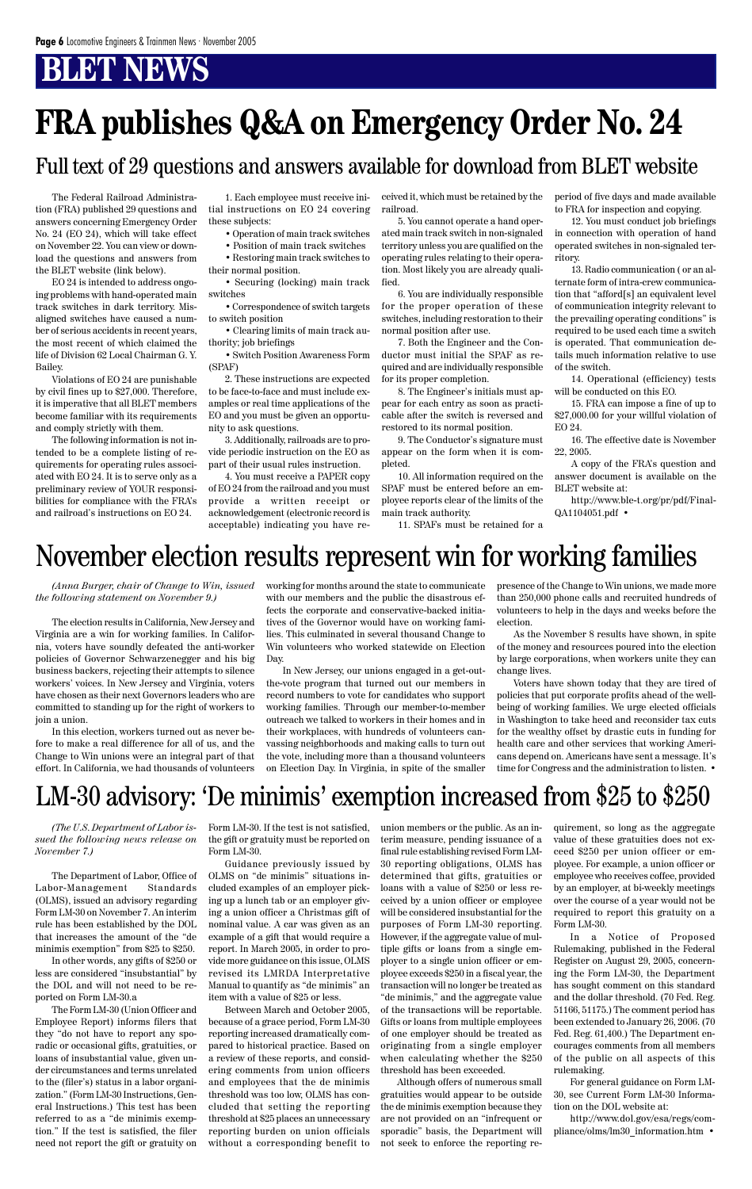## **FRA publishes Q&A on Emergency Order No. 24**

The Federal Railroad Administration (FRA) published 29 questions and answers concerning Emergency Order No. 24 (EO 24), which will take effect on November 22. You can view or download the questions and answers from the BLET website (link below).

EO 24 is intended to address ongoing problems with hand-operated main track switches in dark territory. Misaligned switches have caused a number of serious accidents in recent years, the most recent of which claimed the life of Division 62 Local Chairman G. Y. Bailey.

Violations of EO 24 are punishable by civil fines up to \$27,000. Therefore, it is imperative that all BLET members become familiar with its requirements and comply strictly with them.

The following information is not intended to be a complete listing of requirements for operating rules associated with EO 24. It is to serve only as a preliminary review of YOUR responsibilities for compliance with the FRA's and railroad's instructions on EO 24.

### Full text of 29 questions and answers available for download from BLET website

1. Each employee must receive initial instructions on EO 24 covering these subjects:

• Operation of main track switches

• Position of main track switches

• Restoring main track switches to their normal position.

• Securing (locking) main track switches

• Correspondence of switch targets to switch position

• Clearing limits of main track authority; job briefings

• Switch Position Awareness Form (SPAF)

2. These instructions are expected to be face-to-face and must include examples or real time applications of the EO and you must be given an opportunity to ask questions.

3. Additionally, railroads are to provide periodic instruction on the EO as part of their usual rules instruction.

4. You must receive a PAPER copy of EO 24 from the railroad and you must provide a written receipt or acknowledgement (electronic record is acceptable) indicating you have received it, which must be retained by the railroad.

5. You cannot operate a hand operated main track switch in non-signaled territory unless you are qualified on the operating rules relating to their operation. Most likely you are already qualified.

6. You are individually responsible for the proper operation of these switches, including restoration to their normal position after use.

7. Both the Engineer and the Conductor must initial the SPAF as required and are individually responsible for its proper completion.

8. The Engineer's initials must appear for each entry as soon as practicable after the switch is reversed and restored to its normal position.

9. The Conductor's signature must appear on the form when it is completed.

10. All information required on the SPAF must be entered before an employee reports clear of the limits of the main track authority.

11. SPAFs must be retained for a

period of five days and made available to FRA for inspection and copying.

12. You must conduct job briefings in connection with operation of hand operated switches in non-signaled territory.

13. Radio communication ( or an alternate form of intra-crew communication that "afford[s] an equivalent level of communication integrity relevant to the prevailing operating conditions" is required to be used each time a switch is operated. That communication details much information relative to use of the switch.

14. Operational (efficiency) tests will be conducted on this EO.

15. FRA can impose a fine of up to \$27,000.00 for your willful violation of EO 24.

16. The effective date is November 22, 2005.

A copy of the FRA's question and answer document is available on the BLET website at:

http://www.ble-t.org/pr/pdf/Final-QA1104051.pdf •

*(The U.S. Department of Labor issued the following news release on November 7.)*

The Department of Labor, Office of Labor-Management Standards (OLMS), issued an advisory regarding Form LM-30 on November 7. An interim rule has been established by the DOL that increases the amount of the "de minimis exemption" from \$25 to \$250. In other words, any gifts of \$250 or less are considered "insubstantial" by the DOL and will not need to be reported on Form LM-30.a The Form LM-30 (Union Officer and Employee Report) informs filers that they "do not have to report any sporadic or occasional gifts, gratuities, or loans of insubstantial value, given under circumstances and terms unrelated to the (filer's) status in a labor organization." (Form LM-30 Instructions, General Instructions.) This test has been referred to as a "de minimis exemption." If the test is satisfied, the filer need not report the gift or gratuity on

Form LM-30. If the test is not satisfied, the gift or gratuity must be reported on Form LM-30.

Guidance previously issued by OLMS on "de minimis" situations included examples of an employer picking up a lunch tab or an employer giving a union officer a Christmas gift of nominal value. A car was given as an example of a gift that would require a report. In March 2005, in order to provide more guidance on this issue, OLMS revised its LMRDA Interpretative Manual to quantify as "de minimis" an item with a value of \$25 or less. Between March and October 2005, because of a grace period, Form LM-30 reporting increased dramatically compared to historical practice. Based on a review of these reports, and considering comments from union officers and employees that the de minimis threshold was too low, OLMS has concluded that setting the reporting threshold at \$25 places an unnecessary reporting burden on union officials without a corresponding benefit to

union members or the public. As an interim measure, pending issuance of a final rule establishing revised Form LM-30 reporting obligations, OLMS has determined that gifts, gratuities or loans with a value of \$250 or less received by a union officer or employee will be considered insubstantial for the purposes of Form LM-30 reporting. However, if the aggregate value of multiple gifts or loans from a single employer to a single union officer or employee exceeds \$250 in a fiscal year, the transaction will no longer be treated as "de minimis," and the aggregate value of the transactions will be reportable. Gifts or loans from multiple employees of one employer should be treated as originating from a single employer when calculating whether the \$250 threshold has been exceeded. Although offers of numerous small gratuities would appear to be outside the de minimis exemption because they are not provided on an "infrequent or sporadic" basis, the Department will not seek to enforce the reporting re-

quirement, so long as the aggregate value of these gratuities does not exceed \$250 per union officer or employee. For example, a union officer or employee who receives coffee, provided by an employer, at bi-weekly meetings over the course of a year would not be required to report this gratuity on a Form LM-30. In a Notice of Proposed Rulemaking, published in the Federal Register on August 29, 2005, concerning the Form LM-30, the Department has sought comment on this standard and the dollar threshold. (70 Fed. Reg. 51166, 51175.) The comment period has been extended to January 26, 2006. (70 Fed. Reg. 61,400.) The Department encourages comments from all members of the public on all aspects of this rulemaking. For general guidance on Form LM-30, see Current Form LM-30 Information on the DOL website at:

http://www.dol.gov/esa/regs/compliance/olms/lm30\_information.htm •

## LM-30 advisory: 'De minimis' exemption increased from \$25 to \$250

*(Anna Burger, chair of Change to Win, issued the following statement on November 9.)*

The election results in California, New Jersey and Virginia are a win for working families. In California, voters have soundly defeated the anti-worker policies of Governor Schwarzenegger and his big business backers, rejecting their attempts to silence workers' voices. In New Jersey and Virginia, voters have chosen as their next Governors leaders who are committed to standing up for the right of workers to join a union.

In this election, workers turned out as never before to make a real difference for all of us, and the Change to Win unions were an integral part of that effort. In California, we had thousands of volunteers working for months around the state to communicate with our members and the public the disastrous effects the corporate and conservative-backed initiatives of the Governor would have on working families. This culminated in several thousand Change to Win volunteers who worked statewide on Election Day.

In New Jersey, our unions engaged in a get-outthe-vote program that turned out our members in record numbers to vote for candidates who support working families. Through our member-to-member outreach we talked to workers in their homes and in their workplaces, with hundreds of volunteers canvassing neighborhoods and making calls to turn out the vote, including more than a thousand volunteers on Election Day. In Virginia, in spite of the smaller presence of the Change to Win unions, we made more than 250,000 phone calls and recruited hundreds of volunteers to help in the days and weeks before the election.

As the November 8 results have shown, in spite of the money and resources poured into the election by large corporations, when workers unite they can change lives.

Voters have shown today that they are tired of policies that put corporate profits ahead of the wellbeing of working families. We urge elected officials in Washington to take heed and reconsider tax cuts for the wealthy offset by drastic cuts in funding for health care and other services that working Americans depend on. Americans have sent a message. It's time for Congress and the administration to listen. •

### November election results represent win for working families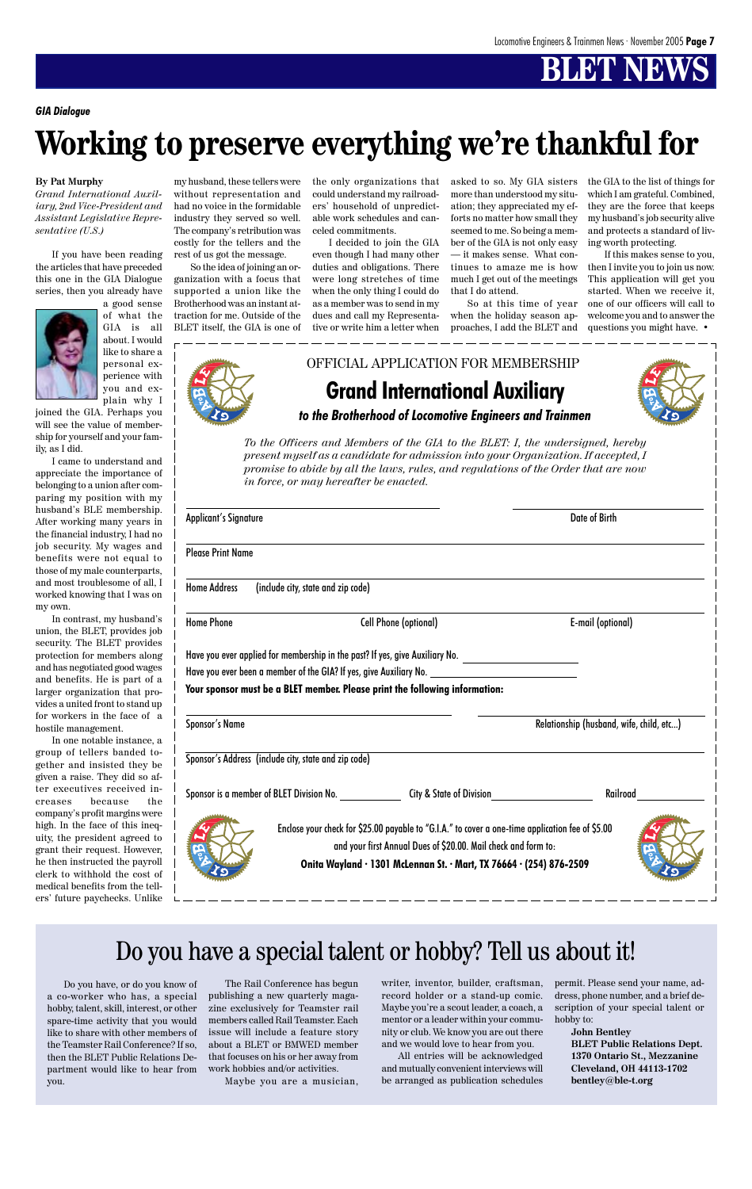#### **By Pat Murphy**

*Grand International Auxiliary, 2nd Vice-President and Assistant Legislative Representative (U.S.)*

If you have been reading the articles that have preceded this one in the GIA Dialogue series, then you already have



you and explain why I joined the GIA. Perhaps you will see the value of membership for yourself and your family, as I did.

In contrast, my husband' union, the BLET, provides job security. The BLET provides protection for members along and has negotiated good wages and benefits. He is part of larger organization that provides a united front to stand up for workers in the face of hostile management.

I came to understand and appreciate the importance of belonging to a union after comparing my position with my husband's BLE membership. After working many years in the financial industry, I had no job security. My wages and benefits were not equal to those of my male counterparts, and most troublesome of all, worked knowing that I was on my own.

In one notable instance, group of tellers banded together and insisted they be given a raise. They did so after executives received increases because the company's profit margins were high. In the face of this inequity, the president agreed to grant their request. However he then instructed the payrol clerk to withhold the cost of medical benefits from the tellers' future paychecks. Unlike

my husband, these tellers were without representation and had no voice in the formidable industry they served so well. The company's retribution was costly for the tellers and the rest of us got the message.

So the idea of joining an organization with a focus that supported a union like the Brotherhood was an instant attraction for me. Outside of the BLET itself, the GIA is one of

the only organizations that could understand my railroaders' household of unpredictable work schedules and canceled commitments.

I decided to join the GIA even though I had many other duties and obligations. There were long stretches of time when the only thing I could do as a member was to send in my dues and call my Representative or write him a letter when

asked to so. My GIA sisters more than understood my situation; they appreciated my efforts no matter how small they seemed to me. So being a member of the GIA is not only easy — it makes sense. What continues to amaze me is how much I get out of the meetings that I do attend.

So at this time of year when the holiday season approaches, I add the BLET and the GIA to the list of things for which I am grateful. Combined, they are the force that keeps my husband's job security alive and protects a standard of living worth protecting.

If this makes sense to you, then I invite you to join us now. This application will get you started. When we receive it, one of our officers will call to welcome you and to answer the questions you might have. •



### **Grand International Auxiliary** *to the Brotherhood of Locomotive Engineers and Trainmen* OFFICIAL APPLICATION FOR MEMBERSHIP

*To the Officers and Members of the GIA to the BLET: I, the undersigned, hereby present myself as a candidate for admission into your Organization. If accepted, I promise to abide by all the laws, rules, and regulations of the Order that are now in force, or may hereafter be enacted.*

| <b>Applicant's Signature</b>                         |                                                                                                                                                                    | Date of Birth                            |  |
|------------------------------------------------------|--------------------------------------------------------------------------------------------------------------------------------------------------------------------|------------------------------------------|--|
| <b>Please Print Name</b>                             |                                                                                                                                                                    |                                          |  |
| <b>Home Address</b>                                  | (include city, state and zip code)                                                                                                                                 |                                          |  |
| <b>Home Phone</b>                                    | <b>Cell Phone (optional)</b>                                                                                                                                       | E-mail (optional)                        |  |
|                                                      | Have you ever applied for membership in the past? If yes, give Auxiliary No. ______________________                                                                |                                          |  |
|                                                      | Have you ever been a member of the GIA? If yes, give Auxiliary No. _________________________________                                                               |                                          |  |
|                                                      | Your sponsor must be a BLET member. Please print the following information:                                                                                        |                                          |  |
| <b>Sponsor's Name</b>                                |                                                                                                                                                                    | Relationship (husband, wife, child, etc) |  |
| Sponsor's Address (include city, state and zip code) |                                                                                                                                                                    |                                          |  |
|                                                      | Sponsor is a member of BLET Division No. _____________________City & State of Division________________________                                                     |                                          |  |
|                                                      | Enclose your check for \$25.00 payable to "G.I.A." to cover a one-time application fee of \$5.00<br>and your first Annual Dues of \$20.00. Mail check and form to: |                                          |  |





*GIA Dialogue*

## **Working to preserve everything we're thankful for**

Do you have, or do you know of a co-worker who has, a special hobby, talent, skill, interest, or other spare-time activity that you would like to share with other members of the Teamster Rail Conference? If so, then the BLET Public Relations Department would like to hear from you.

The Rail Conference has begun publishing a new quarterly magazine exclusively for Teamster rail members called Rail Teamster. Each issue will include a feature story about a BLET or BMWED member that focuses on his or her away from work hobbies and/or activities. Maybe you are a musician,

### Do you have a special talent or hobby? Tell us about it!

writer, inventor, builder, craftsman, record holder or a stand-up comic. Maybe you're a scout leader, a coach, a mentor or a leader within your community or club. We know you are out there and we would love to hear from you.

All entries will be acknowledged and mutually convenient interviews will be arranged as publication schedules

permit. Please send your name, address, phone number, and a brief description of your special talent or hobby to:

> **John Bentley BLET Public Relations Dept. 1370 Ontario St., Mezzanine Cleveland, OH 44113-1702 bentley@ble-t.org**